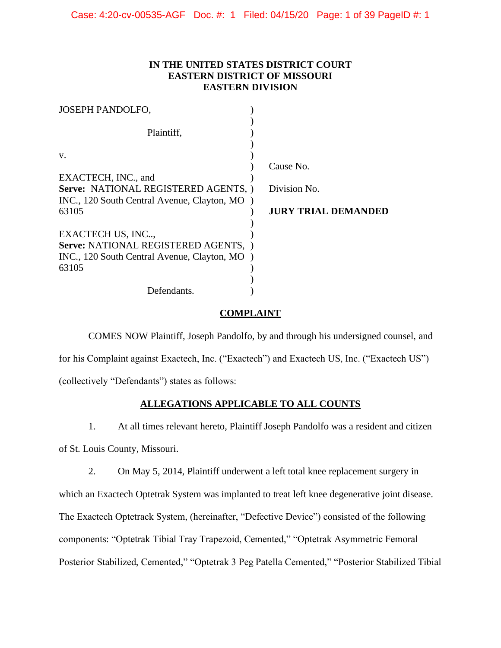## **IN THE UNITED STATES DISTRICT COURT EASTERN DISTRICT OF MISSOURI EASTERN DIVISION**

| <b>JOSEPH PANDOLFO,</b>                                                             |                            |
|-------------------------------------------------------------------------------------|----------------------------|
| Plaintiff,                                                                          |                            |
| V.                                                                                  | Cause No.                  |
| EXACTECH, INC., and                                                                 |                            |
| Serve: NATIONAL REGISTERED AGENTS,<br>INC., 120 South Central Avenue, Clayton, MO ) | Division No.               |
| 63105                                                                               | <b>JURY TRIAL DEMANDED</b> |
| EXACTECH US, INC                                                                    |                            |
| Serve: NATIONAL REGISTERED AGENTS,<br>INC., 120 South Central Avenue, Clayton, MO   |                            |
| 63105                                                                               |                            |
| Defendants.                                                                         |                            |

## **COMPLAINT**

COMES NOW Plaintiff, Joseph Pandolfo, by and through his undersigned counsel, and for his Complaint against Exactech, Inc. ("Exactech") and Exactech US, Inc. ("Exactech US") (collectively "Defendants") states as follows:

## **ALLEGATIONS APPLICABLE TO ALL COUNTS**

1. At all times relevant hereto, Plaintiff Joseph Pandolfo was a resident and citizen

of St. Louis County, Missouri.

2. On May 5, 2014, Plaintiff underwent a left total knee replacement surgery in

which an Exactech Optetrak System was implanted to treat left knee degenerative joint disease. The Exactech Optetrack System, (hereinafter, "Defective Device") consisted of the following components: "Optetrak Tibial Tray Trapezoid, Cemented," "Optetrak Asymmetric Femoral Posterior Stabilized, Cemented," "Optetrak 3 Peg Patella Cemented," "Posterior Stabilized Tibial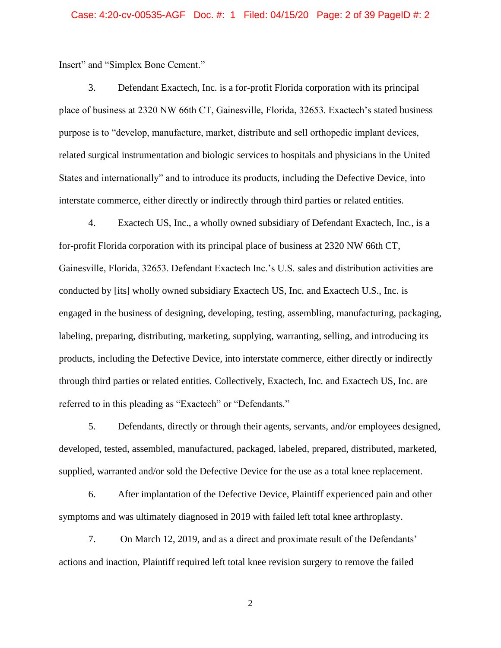#### Case: 4:20-cv-00535-AGF Doc. #: 1 Filed: 04/15/20 Page: 2 of 39 PageID #: 2

Insert" and "Simplex Bone Cement."

3. Defendant Exactech, Inc. is a for-profit Florida corporation with its principal place of business at 2320 NW 66th CT, Gainesville, Florida, 32653. Exactech's stated business purpose is to "develop, manufacture, market, distribute and sell orthopedic implant devices, related surgical instrumentation and biologic services to hospitals and physicians in the United States and internationally" and to introduce its products, including the Defective Device, into interstate commerce, either directly or indirectly through third parties or related entities.

4. Exactech US, Inc., a wholly owned subsidiary of Defendant Exactech, Inc., is a for-profit Florida corporation with its principal place of business at 2320 NW 66th CT, Gainesville, Florida, 32653. Defendant Exactech Inc.'s U.S. sales and distribution activities are conducted by [its] wholly owned subsidiary Exactech US, Inc. and Exactech U.S., Inc. is engaged in the business of designing, developing, testing, assembling, manufacturing, packaging, labeling, preparing, distributing, marketing, supplying, warranting, selling, and introducing its products, including the Defective Device, into interstate commerce, either directly or indirectly through third parties or related entities. Collectively, Exactech, Inc. and Exactech US, Inc. are referred to in this pleading as "Exactech" or "Defendants."

5. Defendants, directly or through their agents, servants, and/or employees designed, developed, tested, assembled, manufactured, packaged, labeled, prepared, distributed, marketed, supplied, warranted and/or sold the Defective Device for the use as a total knee replacement.

6. After implantation of the Defective Device, Plaintiff experienced pain and other symptoms and was ultimately diagnosed in 2019 with failed left total knee arthroplasty.

7. On March 12, 2019, and as a direct and proximate result of the Defendants' actions and inaction, Plaintiff required left total knee revision surgery to remove the failed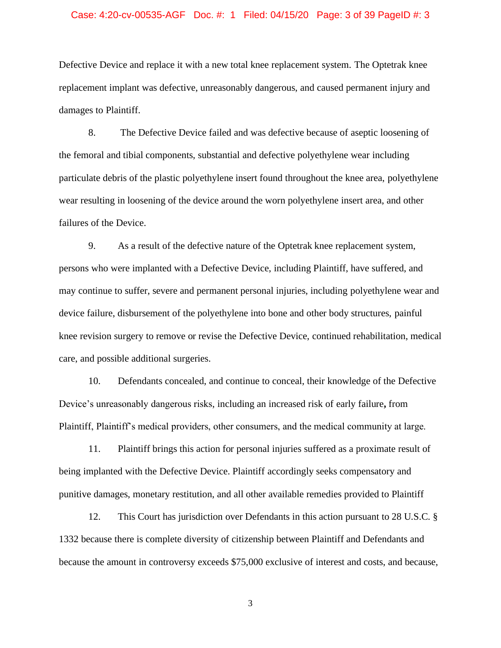#### Case: 4:20-cv-00535-AGF Doc. #: 1 Filed: 04/15/20 Page: 3 of 39 PageID #: 3

Defective Device and replace it with a new total knee replacement system. The Optetrak knee replacement implant was defective, unreasonably dangerous, and caused permanent injury and damages to Plaintiff.

8. The Defective Device failed and was defective because of aseptic loosening of the femoral and tibial components, substantial and defective polyethylene wear including particulate debris of the plastic polyethylene insert found throughout the knee area, polyethylene wear resulting in loosening of the device around the worn polyethylene insert area, and other failures of the Device.

9. As a result of the defective nature of the Optetrak knee replacement system, persons who were implanted with a Defective Device, including Plaintiff, have suffered, and may continue to suffer, severe and permanent personal injuries, including polyethylene wear and device failure, disbursement of the polyethylene into bone and other body structures, painful knee revision surgery to remove or revise the Defective Device, continued rehabilitation, medical care, and possible additional surgeries.

10. Defendants concealed, and continue to conceal, their knowledge of the Defective Device's unreasonably dangerous risks, including an increased risk of early failure**,** from Plaintiff, Plaintiff's medical providers, other consumers, and the medical community at large.

11. Plaintiff brings this action for personal injuries suffered as a proximate result of being implanted with the Defective Device. Plaintiff accordingly seeks compensatory and punitive damages, monetary restitution, and all other available remedies provided to Plaintiff

12. This Court has jurisdiction over Defendants in this action pursuant to 28 U.S.C. § 1332 because there is complete diversity of citizenship between Plaintiff and Defendants and because the amount in controversy exceeds \$75,000 exclusive of interest and costs, and because,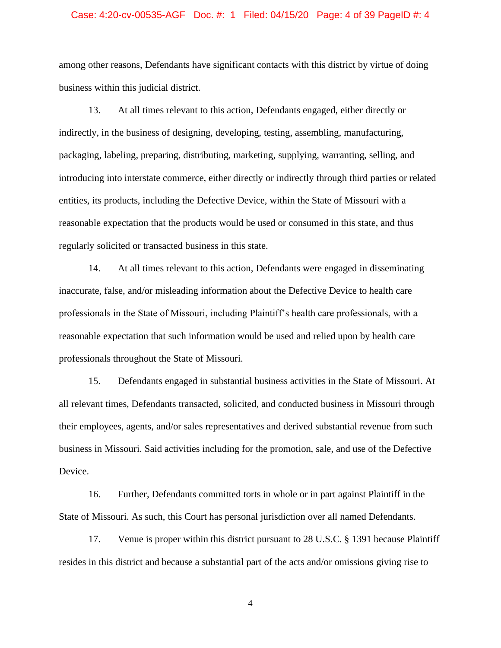#### Case: 4:20-cv-00535-AGF Doc. #: 1 Filed: 04/15/20 Page: 4 of 39 PageID #: 4

among other reasons, Defendants have significant contacts with this district by virtue of doing business within this judicial district.

13. At all times relevant to this action, Defendants engaged, either directly or indirectly, in the business of designing, developing, testing, assembling, manufacturing, packaging, labeling, preparing, distributing, marketing, supplying, warranting, selling, and introducing into interstate commerce, either directly or indirectly through third parties or related entities, its products, including the Defective Device, within the State of Missouri with a reasonable expectation that the products would be used or consumed in this state, and thus regularly solicited or transacted business in this state.

14. At all times relevant to this action, Defendants were engaged in disseminating inaccurate, false, and/or misleading information about the Defective Device to health care professionals in the State of Missouri, including Plaintiff's health care professionals, with a reasonable expectation that such information would be used and relied upon by health care professionals throughout the State of Missouri.

15. Defendants engaged in substantial business activities in the State of Missouri. At all relevant times, Defendants transacted, solicited, and conducted business in Missouri through their employees, agents, and/or sales representatives and derived substantial revenue from such business in Missouri. Said activities including for the promotion, sale, and use of the Defective Device.

16. Further, Defendants committed torts in whole or in part against Plaintiff in the State of Missouri. As such, this Court has personal jurisdiction over all named Defendants.

17. Venue is proper within this district pursuant to 28 U.S.C. § 1391 because Plaintiff resides in this district and because a substantial part of the acts and/or omissions giving rise to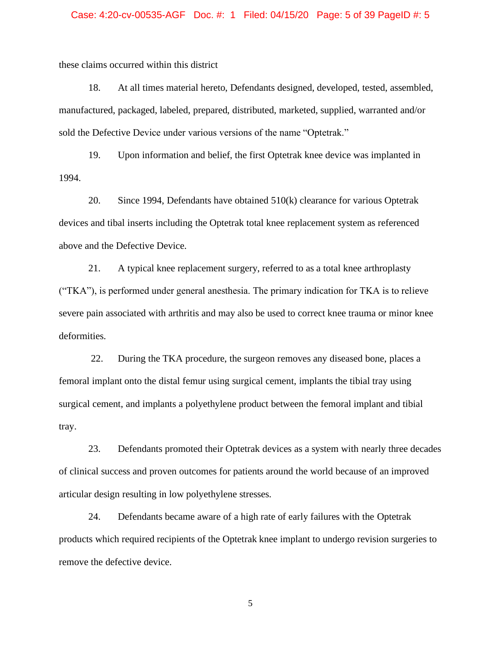#### Case: 4:20-cv-00535-AGF Doc. #: 1 Filed: 04/15/20 Page: 5 of 39 PageID #: 5

these claims occurred within this district

18. At all times material hereto, Defendants designed, developed, tested, assembled, manufactured, packaged, labeled, prepared, distributed, marketed, supplied, warranted and/or sold the Defective Device under various versions of the name "Optetrak."

19. Upon information and belief, the first Optetrak knee device was implanted in 1994.

20. Since 1994, Defendants have obtained 510(k) clearance for various Optetrak devices and tibal inserts including the Optetrak total knee replacement system as referenced above and the Defective Device.

21. A typical knee replacement surgery, referred to as a total knee arthroplasty ("TKA"), is performed under general anesthesia. The primary indication for TKA is to relieve severe pain associated with arthritis and may also be used to correct knee trauma or minor knee deformities.

22. During the TKA procedure, the surgeon removes any diseased bone, places a femoral implant onto the distal femur using surgical cement, implants the tibial tray using surgical cement, and implants a polyethylene product between the femoral implant and tibial tray.

23. Defendants promoted their Optetrak devices as a system with nearly three decades of clinical success and proven outcomes for patients around the world because of an improved articular design resulting in low polyethylene stresses.

24. Defendants became aware of a high rate of early failures with the Optetrak products which required recipients of the Optetrak knee implant to undergo revision surgeries to remove the defective device.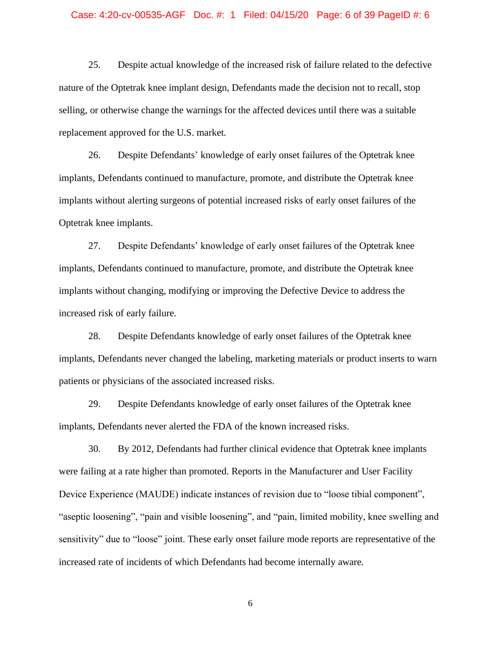#### Case: 4:20-cv-00535-AGF Doc. #: 1 Filed: 04/15/20 Page: 6 of 39 PageID #: 6

25. Despite actual knowledge of the increased risk of failure related to the defective nature of the Optetrak knee implant design, Defendants made the decision not to recall, stop selling, or otherwise change the warnings for the affected devices until there was a suitable replacement approved for the U.S. market.

26. Despite Defendants' knowledge of early onset failures of the Optetrak knee implants, Defendants continued to manufacture, promote, and distribute the Optetrak knee implants without alerting surgeons of potential increased risks of early onset failures of the Optetrak knee implants.

27. Despite Defendants' knowledge of early onset failures of the Optetrak knee implants, Defendants continued to manufacture, promote, and distribute the Optetrak knee implants without changing, modifying or improving the Defective Device to address the increased risk of early failure.

28. Despite Defendants knowledge of early onset failures of the Optetrak knee implants, Defendants never changed the labeling, marketing materials or product inserts to warn patients or physicians of the associated increased risks.

29. Despite Defendants knowledge of early onset failures of the Optetrak knee implants, Defendants never alerted the FDA of the known increased risks.

30. By 2012, Defendants had further clinical evidence that Optetrak knee implants were failing at a rate higher than promoted. Reports in the Manufacturer and User Facility Device Experience (MAUDE) indicate instances of revision due to "loose tibial component", "aseptic loosening", "pain and visible loosening", and "pain, limited mobility, knee swelling and sensitivity" due to "loose" joint. These early onset failure mode reports are representative of the increased rate of incidents of which Defendants had become internally aware.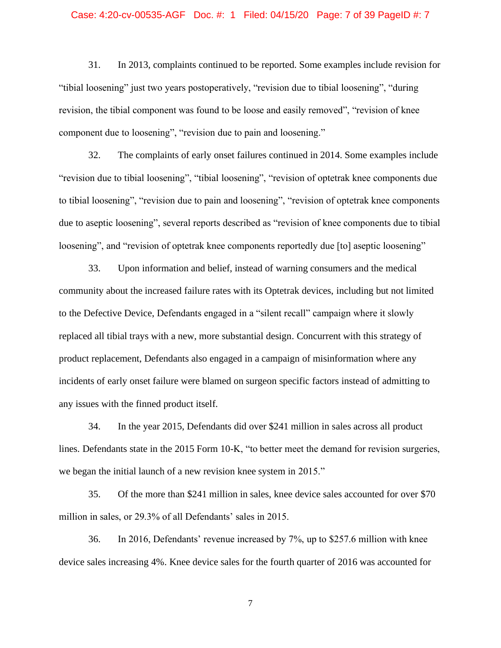#### Case: 4:20-cv-00535-AGF Doc. #: 1 Filed: 04/15/20 Page: 7 of 39 PageID #: 7

31. In 2013, complaints continued to be reported. Some examples include revision for "tibial loosening" just two years postoperatively, "revision due to tibial loosening", "during revision, the tibial component was found to be loose and easily removed", "revision of knee component due to loosening", "revision due to pain and loosening."

32. The complaints of early onset failures continued in 2014. Some examples include "revision due to tibial loosening", "tibial loosening", "revision of optetrak knee components due to tibial loosening", "revision due to pain and loosening", "revision of optetrak knee components due to aseptic loosening", several reports described as "revision of knee components due to tibial loosening", and "revision of optetrak knee components reportedly due [to] aseptic loosening"

33. Upon information and belief, instead of warning consumers and the medical community about the increased failure rates with its Optetrak devices, including but not limited to the Defective Device, Defendants engaged in a "silent recall" campaign where it slowly replaced all tibial trays with a new, more substantial design. Concurrent with this strategy of product replacement, Defendants also engaged in a campaign of misinformation where any incidents of early onset failure were blamed on surgeon specific factors instead of admitting to any issues with the finned product itself.

34. In the year 2015, Defendants did over \$241 million in sales across all product lines. Defendants state in the 2015 Form 10-K, "to better meet the demand for revision surgeries, we began the initial launch of a new revision knee system in 2015."

35. Of the more than \$241 million in sales, knee device sales accounted for over \$70 million in sales, or 29.3% of all Defendants' sales in 2015.

36. In 2016, Defendants' revenue increased by 7%, up to \$257.6 million with knee device sales increasing 4%. Knee device sales for the fourth quarter of 2016 was accounted for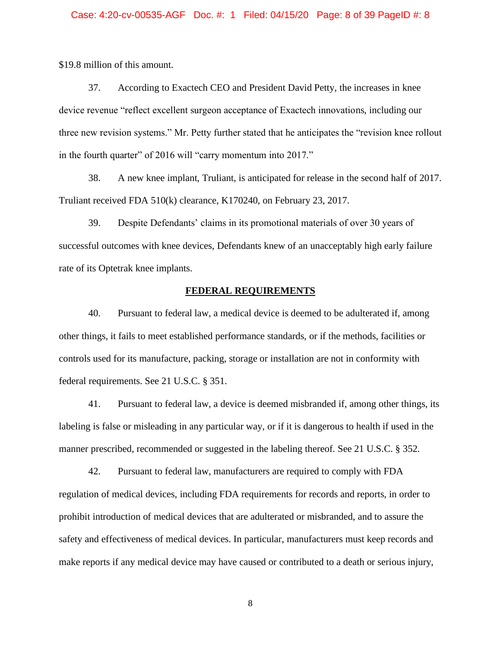#### Case: 4:20-cv-00535-AGF Doc. #: 1 Filed: 04/15/20 Page: 8 of 39 PageID #: 8

\$19.8 million of this amount.

37. According to Exactech CEO and President David Petty, the increases in knee device revenue "reflect excellent surgeon acceptance of Exactech innovations, including our three new revision systems." Mr. Petty further stated that he anticipates the "revision knee rollout in the fourth quarter" of 2016 will "carry momentum into 2017."

38. A new knee implant, Truliant, is anticipated for release in the second half of 2017. Truliant received FDA 510(k) clearance, K170240, on February 23, 2017.

39. Despite Defendants' claims in its promotional materials of over 30 years of successful outcomes with knee devices, Defendants knew of an unacceptably high early failure rate of its Optetrak knee implants.

### **FEDERAL REQUIREMENTS**

40. Pursuant to federal law, a medical device is deemed to be adulterated if, among other things, it fails to meet established performance standards, or if the methods, facilities or controls used for its manufacture, packing, storage or installation are not in conformity with federal requirements. See 21 U.S.C. § 351.

41. Pursuant to federal law, a device is deemed misbranded if, among other things, its labeling is false or misleading in any particular way, or if it is dangerous to health if used in the manner prescribed, recommended or suggested in the labeling thereof. See 21 U.S.C. § 352.

42. Pursuant to federal law, manufacturers are required to comply with FDA regulation of medical devices, including FDA requirements for records and reports, in order to prohibit introduction of medical devices that are adulterated or misbranded, and to assure the safety and effectiveness of medical devices. In particular, manufacturers must keep records and make reports if any medical device may have caused or contributed to a death or serious injury,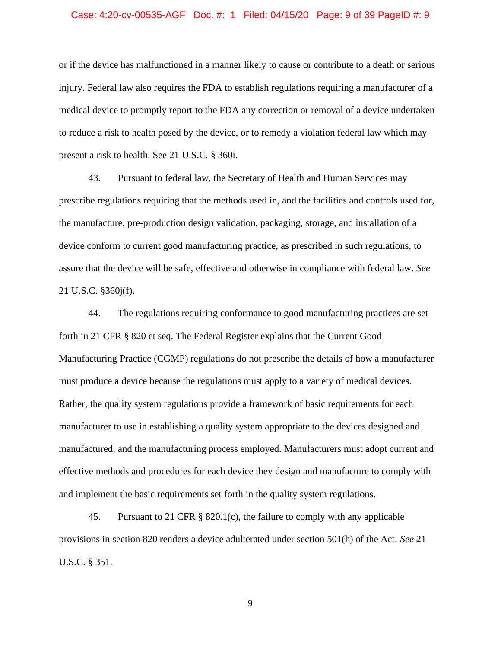#### Case: 4:20-cv-00535-AGF Doc. #: 1 Filed: 04/15/20 Page: 9 of 39 PageID #: 9

or if the device has malfunctioned in a manner likely to cause or contribute to a death or serious injury. Federal law also requires the FDA to establish regulations requiring a manufacturer of a medical device to promptly report to the FDA any correction or removal of a device undertaken to reduce a risk to health posed by the device, or to remedy a violation federal law which may present a risk to health. See 21 U.S.C. § 360i.

43. Pursuant to federal law, the Secretary of Health and Human Services may prescribe regulations requiring that the methods used in, and the facilities and controls used for, the manufacture, pre-production design validation, packaging, storage, and installation of a device conform to current good manufacturing practice, as prescribed in such regulations, to assure that the device will be safe, effective and otherwise in compliance with federal law. *See* 21 U.S.C. §360j(f).

44. The regulations requiring conformance to good manufacturing practices are set forth in 21 CFR § 820 et seq. The Federal Register explains that the Current Good Manufacturing Practice (CGMP) regulations do not prescribe the details of how a manufacturer must produce a device because the regulations must apply to a variety of medical devices. Rather, the quality system regulations provide a framework of basic requirements for each manufacturer to use in establishing a quality system appropriate to the devices designed and manufactured, and the manufacturing process employed. Manufacturers must adopt current and effective methods and procedures for each device they design and manufacture to comply with and implement the basic requirements set forth in the quality system regulations.

45. Pursuant to 21 CFR § 820.1(c), the failure to comply with any applicable provisions in section 820 renders a device adulterated under section 501(h) of the Act. *See* 21 U.S.C. § 351.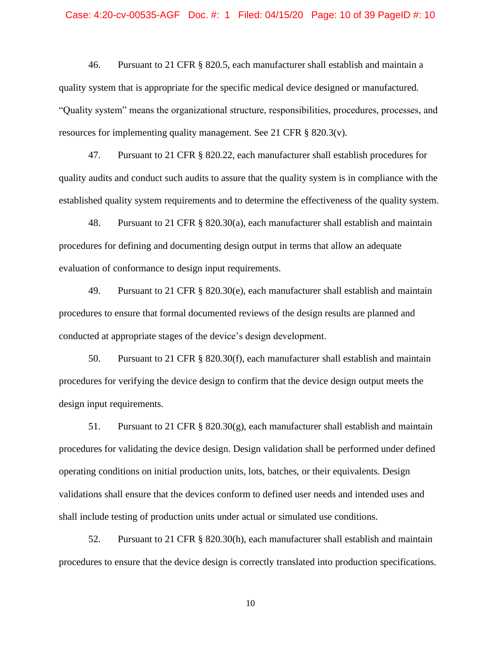#### Case: 4:20-cv-00535-AGF Doc. #: 1 Filed: 04/15/20 Page: 10 of 39 PageID #: 10

46. Pursuant to 21 CFR § 820.5, each manufacturer shall establish and maintain a quality system that is appropriate for the specific medical device designed or manufactured. "Quality system" means the organizational structure, responsibilities, procedures, processes, and resources for implementing quality management. See 21 CFR § 820.3(v).

47. Pursuant to 21 CFR § 820.22, each manufacturer shall establish procedures for quality audits and conduct such audits to assure that the quality system is in compliance with the established quality system requirements and to determine the effectiveness of the quality system.

48. Pursuant to 21 CFR § 820.30(a), each manufacturer shall establish and maintain procedures for defining and documenting design output in terms that allow an adequate evaluation of conformance to design input requirements.

49. Pursuant to 21 CFR § 820.30(e), each manufacturer shall establish and maintain procedures to ensure that formal documented reviews of the design results are planned and conducted at appropriate stages of the device's design development.

50. Pursuant to 21 CFR § 820.30(f), each manufacturer shall establish and maintain procedures for verifying the device design to confirm that the device design output meets the design input requirements.

51. Pursuant to 21 CFR § 820.30(g), each manufacturer shall establish and maintain procedures for validating the device design. Design validation shall be performed under defined operating conditions on initial production units, lots, batches, or their equivalents. Design validations shall ensure that the devices conform to defined user needs and intended uses and shall include testing of production units under actual or simulated use conditions.

52. Pursuant to 21 CFR § 820.30(h), each manufacturer shall establish and maintain procedures to ensure that the device design is correctly translated into production specifications.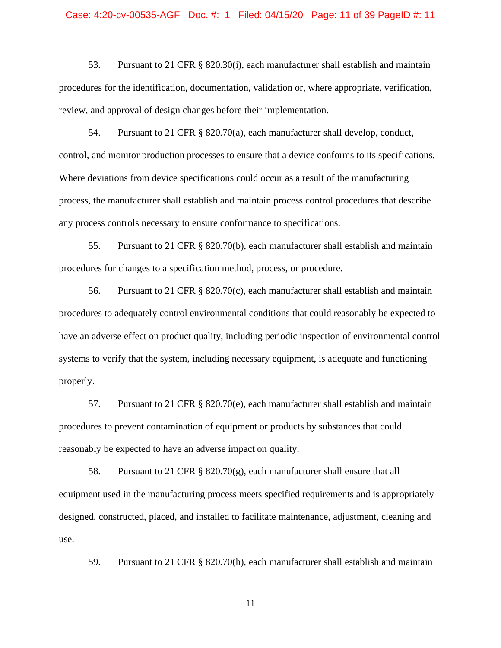#### Case: 4:20-cv-00535-AGF Doc. #: 1 Filed: 04/15/20 Page: 11 of 39 PageID #: 11

53. Pursuant to 21 CFR § 820.30(i), each manufacturer shall establish and maintain procedures for the identification, documentation, validation or, where appropriate, verification, review, and approval of design changes before their implementation.

54. Pursuant to 21 CFR § 820.70(a), each manufacturer shall develop, conduct, control, and monitor production processes to ensure that a device conforms to its specifications. Where deviations from device specifications could occur as a result of the manufacturing process, the manufacturer shall establish and maintain process control procedures that describe any process controls necessary to ensure conformance to specifications.

55. Pursuant to 21 CFR § 820.70(b), each manufacturer shall establish and maintain procedures for changes to a specification method, process, or procedure.

56. Pursuant to 21 CFR § 820.70(c), each manufacturer shall establish and maintain procedures to adequately control environmental conditions that could reasonably be expected to have an adverse effect on product quality, including periodic inspection of environmental control systems to verify that the system, including necessary equipment, is adequate and functioning properly.

57. Pursuant to 21 CFR  $\S$  820.70(e), each manufacturer shall establish and maintain procedures to prevent contamination of equipment or products by substances that could reasonably be expected to have an adverse impact on quality.

58. Pursuant to 21 CFR § 820.70(g), each manufacturer shall ensure that all equipment used in the manufacturing process meets specified requirements and is appropriately designed, constructed, placed, and installed to facilitate maintenance, adjustment, cleaning and use.

59. Pursuant to 21 CFR § 820.70(h), each manufacturer shall establish and maintain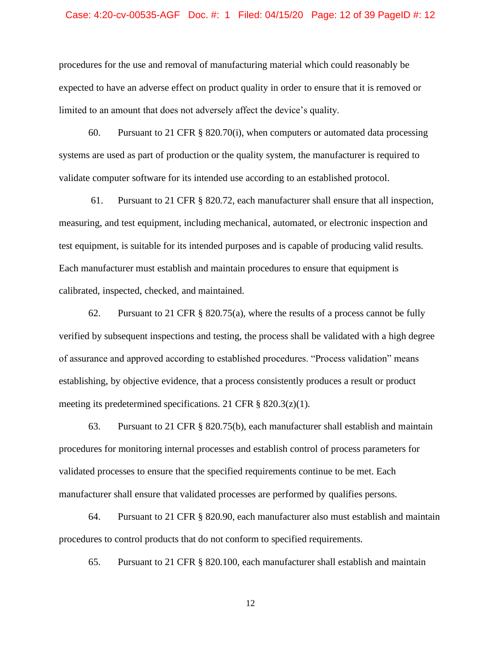#### Case: 4:20-cv-00535-AGF Doc. #: 1 Filed: 04/15/20 Page: 12 of 39 PageID #: 12

procedures for the use and removal of manufacturing material which could reasonably be expected to have an adverse effect on product quality in order to ensure that it is removed or limited to an amount that does not adversely affect the device's quality.

60. Pursuant to 21 CFR  $\S$  820.70(i), when computers or automated data processing systems are used as part of production or the quality system, the manufacturer is required to validate computer software for its intended use according to an established protocol.

61. Pursuant to 21 CFR § 820.72, each manufacturer shall ensure that all inspection, measuring, and test equipment, including mechanical, automated, or electronic inspection and test equipment, is suitable for its intended purposes and is capable of producing valid results. Each manufacturer must establish and maintain procedures to ensure that equipment is calibrated, inspected, checked, and maintained.

62. Pursuant to 21 CFR § 820.75(a), where the results of a process cannot be fully verified by subsequent inspections and testing, the process shall be validated with a high degree of assurance and approved according to established procedures. "Process validation" means establishing, by objective evidence, that a process consistently produces a result or product meeting its predetermined specifications. 21 CFR  $\S$  820.3(z)(1).

63. Pursuant to 21 CFR § 820.75(b), each manufacturer shall establish and maintain procedures for monitoring internal processes and establish control of process parameters for validated processes to ensure that the specified requirements continue to be met. Each manufacturer shall ensure that validated processes are performed by qualifies persons.

64. Pursuant to 21 CFR § 820.90, each manufacturer also must establish and maintain procedures to control products that do not conform to specified requirements.

65. Pursuant to 21 CFR § 820.100, each manufacturer shall establish and maintain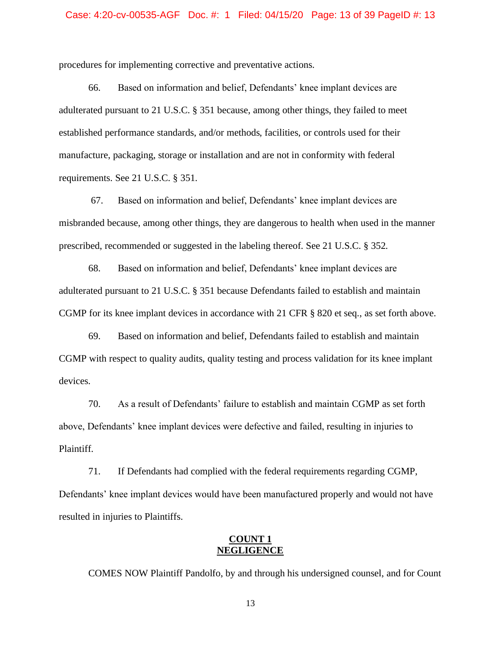procedures for implementing corrective and preventative actions.

66. Based on information and belief, Defendants' knee implant devices are adulterated pursuant to 21 U.S.C. § 351 because, among other things, they failed to meet established performance standards, and/or methods, facilities, or controls used for their manufacture, packaging, storage or installation and are not in conformity with federal requirements. See 21 U.S.C. § 351.

67. Based on information and belief, Defendants' knee implant devices are misbranded because, among other things, they are dangerous to health when used in the manner prescribed, recommended or suggested in the labeling thereof. See 21 U.S.C. § 352.

68. Based on information and belief, Defendants' knee implant devices are adulterated pursuant to 21 U.S.C. § 351 because Defendants failed to establish and maintain CGMP for its knee implant devices in accordance with 21 CFR § 820 et seq., as set forth above.

69. Based on information and belief, Defendants failed to establish and maintain CGMP with respect to quality audits, quality testing and process validation for its knee implant devices.

70. As a result of Defendants' failure to establish and maintain CGMP as set forth above, Defendants' knee implant devices were defective and failed, resulting in injuries to Plaintiff.

71. If Defendants had complied with the federal requirements regarding CGMP, Defendants' knee implant devices would have been manufactured properly and would not have resulted in injuries to Plaintiffs.

### **COUNT 1 NEGLIGENCE**

COMES NOW Plaintiff Pandolfo, by and through his undersigned counsel, and for Count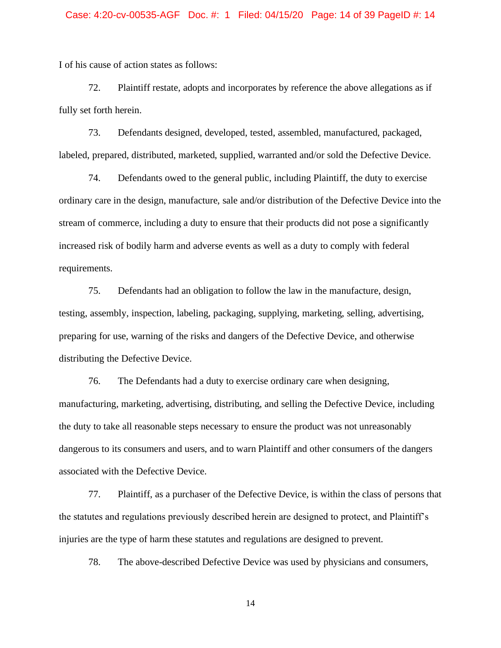I of his cause of action states as follows:

72. Plaintiff restate, adopts and incorporates by reference the above allegations as if fully set forth herein.

73. Defendants designed, developed, tested, assembled, manufactured, packaged, labeled, prepared, distributed, marketed, supplied, warranted and/or sold the Defective Device.

74. Defendants owed to the general public, including Plaintiff, the duty to exercise ordinary care in the design, manufacture, sale and/or distribution of the Defective Device into the stream of commerce, including a duty to ensure that their products did not pose a significantly increased risk of bodily harm and adverse events as well as a duty to comply with federal requirements.

75. Defendants had an obligation to follow the law in the manufacture, design, testing, assembly, inspection, labeling, packaging, supplying, marketing, selling, advertising, preparing for use, warning of the risks and dangers of the Defective Device, and otherwise distributing the Defective Device.

76. The Defendants had a duty to exercise ordinary care when designing, manufacturing, marketing, advertising, distributing, and selling the Defective Device, including the duty to take all reasonable steps necessary to ensure the product was not unreasonably dangerous to its consumers and users, and to warn Plaintiff and other consumers of the dangers associated with the Defective Device.

77. Plaintiff, as a purchaser of the Defective Device, is within the class of persons that the statutes and regulations previously described herein are designed to protect, and Plaintiff's injuries are the type of harm these statutes and regulations are designed to prevent.

78. The above-described Defective Device was used by physicians and consumers,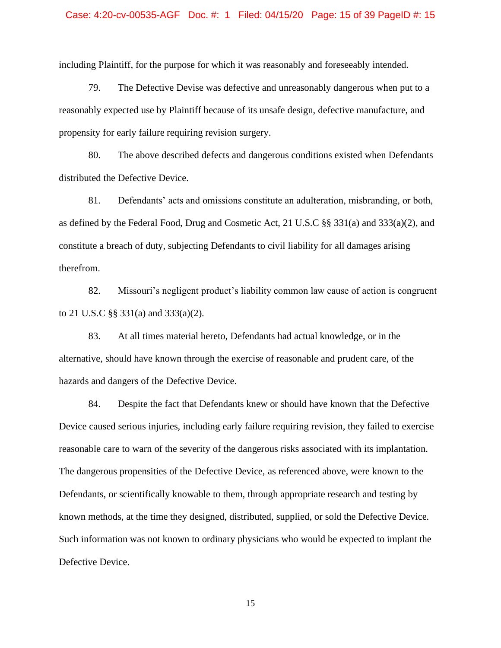#### Case: 4:20-cv-00535-AGF Doc. #: 1 Filed: 04/15/20 Page: 15 of 39 PageID #: 15

including Plaintiff, for the purpose for which it was reasonably and foreseeably intended.

79. The Defective Devise was defective and unreasonably dangerous when put to a reasonably expected use by Plaintiff because of its unsafe design, defective manufacture, and propensity for early failure requiring revision surgery.

80. The above described defects and dangerous conditions existed when Defendants distributed the Defective Device.

81. Defendants' acts and omissions constitute an adulteration, misbranding, or both, as defined by the Federal Food, Drug and Cosmetic Act, 21 U.S.C §§ 331(a) and 333(a)(2), and constitute a breach of duty, subjecting Defendants to civil liability for all damages arising therefrom.

82. Missouri's negligent product's liability common law cause of action is congruent to 21 U.S.C §§ 331(a) and 333(a)(2).

83. At all times material hereto, Defendants had actual knowledge, or in the alternative, should have known through the exercise of reasonable and prudent care, of the hazards and dangers of the Defective Device.

84. Despite the fact that Defendants knew or should have known that the Defective Device caused serious injuries, including early failure requiring revision, they failed to exercise reasonable care to warn of the severity of the dangerous risks associated with its implantation. The dangerous propensities of the Defective Device, as referenced above, were known to the Defendants, or scientifically knowable to them, through appropriate research and testing by known methods, at the time they designed, distributed, supplied, or sold the Defective Device. Such information was not known to ordinary physicians who would be expected to implant the Defective Device.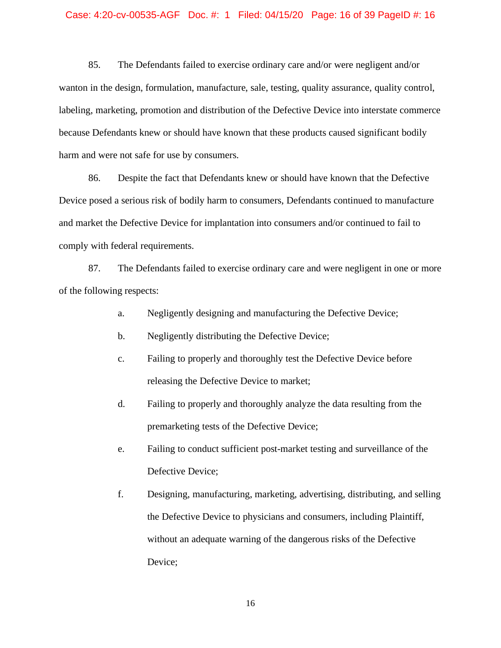#### Case: 4:20-cv-00535-AGF Doc. #: 1 Filed: 04/15/20 Page: 16 of 39 PageID #: 16

85. The Defendants failed to exercise ordinary care and/or were negligent and/or wanton in the design, formulation, manufacture, sale, testing, quality assurance, quality control, labeling, marketing, promotion and distribution of the Defective Device into interstate commerce because Defendants knew or should have known that these products caused significant bodily harm and were not safe for use by consumers.

86. Despite the fact that Defendants knew or should have known that the Defective Device posed a serious risk of bodily harm to consumers, Defendants continued to manufacture and market the Defective Device for implantation into consumers and/or continued to fail to comply with federal requirements.

87. The Defendants failed to exercise ordinary care and were negligent in one or more of the following respects:

- a. Negligently designing and manufacturing the Defective Device;
- b. Negligently distributing the Defective Device;
- c. Failing to properly and thoroughly test the Defective Device before releasing the Defective Device to market;
- d. Failing to properly and thoroughly analyze the data resulting from the premarketing tests of the Defective Device;
- e. Failing to conduct sufficient post-market testing and surveillance of the Defective Device;
- f. Designing, manufacturing, marketing, advertising, distributing, and selling the Defective Device to physicians and consumers, including Plaintiff, without an adequate warning of the dangerous risks of the Defective Device;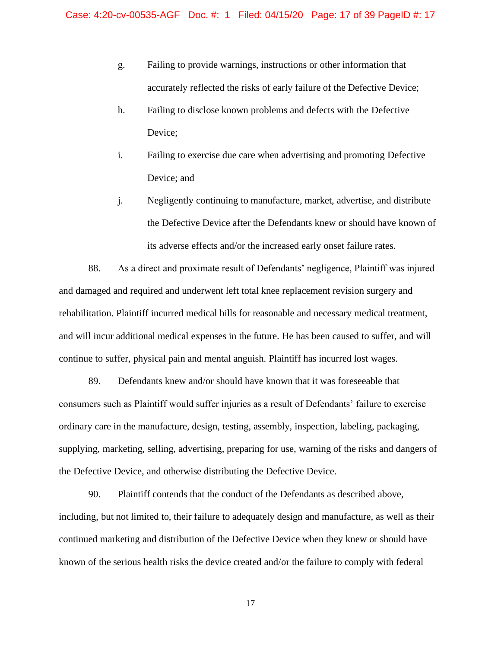- g. Failing to provide warnings, instructions or other information that accurately reflected the risks of early failure of the Defective Device;
- h. Failing to disclose known problems and defects with the Defective Device;
- i. Failing to exercise due care when advertising and promoting Defective Device; and
- j. Negligently continuing to manufacture, market, advertise, and distribute the Defective Device after the Defendants knew or should have known of its adverse effects and/or the increased early onset failure rates.

88. As a direct and proximate result of Defendants' negligence, Plaintiff was injured and damaged and required and underwent left total knee replacement revision surgery and rehabilitation. Plaintiff incurred medical bills for reasonable and necessary medical treatment, and will incur additional medical expenses in the future. He has been caused to suffer, and will continue to suffer, physical pain and mental anguish. Plaintiff has incurred lost wages.

89. Defendants knew and/or should have known that it was foreseeable that consumers such as Plaintiff would suffer injuries as a result of Defendants' failure to exercise ordinary care in the manufacture, design, testing, assembly, inspection, labeling, packaging, supplying, marketing, selling, advertising, preparing for use, warning of the risks and dangers of the Defective Device, and otherwise distributing the Defective Device.

90. Plaintiff contends that the conduct of the Defendants as described above, including, but not limited to, their failure to adequately design and manufacture, as well as their continued marketing and distribution of the Defective Device when they knew or should have known of the serious health risks the device created and/or the failure to comply with federal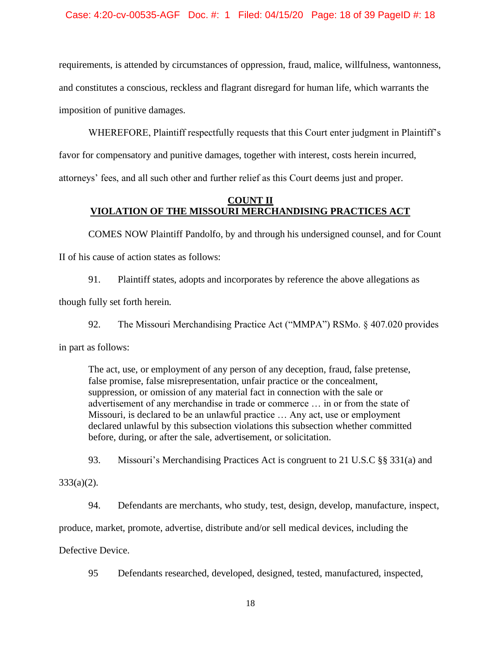requirements, is attended by circumstances of oppression, fraud, malice, willfulness, wantonness, and constitutes a conscious, reckless and flagrant disregard for human life, which warrants the imposition of punitive damages.

WHEREFORE, Plaintiff respectfully requests that this Court enter judgment in Plaintiff's favor for compensatory and punitive damages, together with interest, costs herein incurred, attorneys' fees, and all such other and further relief as this Court deems just and proper.

## **COUNT II VIOLATION OF THE MISSOURI MERCHANDISING PRACTICES ACT**

COMES NOW Plaintiff Pandolfo, by and through his undersigned counsel, and for Count II of his cause of action states as follows:

91. Plaintiff states, adopts and incorporates by reference the above allegations as though fully set forth herein.

92. The Missouri Merchandising Practice Act ("MMPA") RSMo. § 407.020 provides in part as follows:

The act, use, or employment of any person of any deception, fraud, false pretense, false promise, false misrepresentation, unfair practice or the concealment, suppression, or omission of any material fact in connection with the sale or advertisement of any merchandise in trade or commerce … in or from the state of Missouri, is declared to be an unlawful practice … Any act, use or employment declared unlawful by this subsection violations this subsection whether committed before, during, or after the sale, advertisement, or solicitation.

93. Missouri's Merchandising Practices Act is congruent to 21 U.S.C §§ 331(a) and

 $333(a)(2)$ .

94. Defendants are merchants, who study, test, design, develop, manufacture, inspect,

produce, market, promote, advertise, distribute and/or sell medical devices, including the

Defective Device.

95 Defendants researched, developed, designed, tested, manufactured, inspected,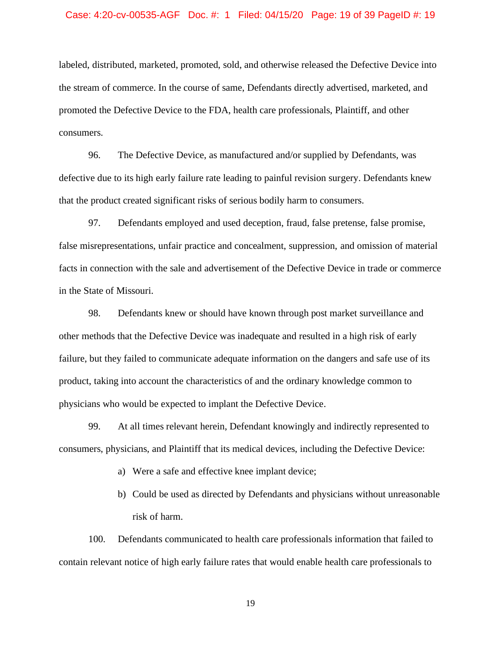#### Case: 4:20-cv-00535-AGF Doc. #: 1 Filed: 04/15/20 Page: 19 of 39 PageID #: 19

labeled, distributed, marketed, promoted, sold, and otherwise released the Defective Device into the stream of commerce. In the course of same, Defendants directly advertised, marketed, and promoted the Defective Device to the FDA, health care professionals, Plaintiff, and other consumers.

96. The Defective Device, as manufactured and/or supplied by Defendants, was defective due to its high early failure rate leading to painful revision surgery. Defendants knew that the product created significant risks of serious bodily harm to consumers.

97. Defendants employed and used deception, fraud, false pretense, false promise, false misrepresentations, unfair practice and concealment, suppression, and omission of material facts in connection with the sale and advertisement of the Defective Device in trade or commerce in the State of Missouri.

98. Defendants knew or should have known through post market surveillance and other methods that the Defective Device was inadequate and resulted in a high risk of early failure, but they failed to communicate adequate information on the dangers and safe use of its product, taking into account the characteristics of and the ordinary knowledge common to physicians who would be expected to implant the Defective Device.

99. At all times relevant herein, Defendant knowingly and indirectly represented to consumers, physicians, and Plaintiff that its medical devices, including the Defective Device:

- a) Were a safe and effective knee implant device;
- b) Could be used as directed by Defendants and physicians without unreasonable risk of harm.

100. Defendants communicated to health care professionals information that failed to contain relevant notice of high early failure rates that would enable health care professionals to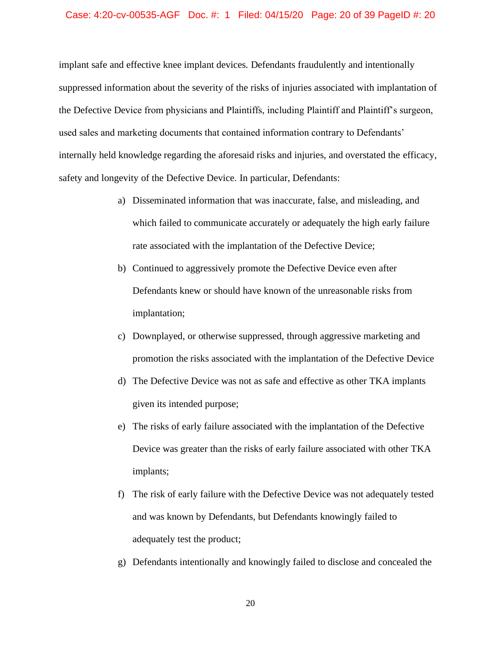#### Case: 4:20-cv-00535-AGF Doc. #: 1 Filed: 04/15/20 Page: 20 of 39 PageID #: 20

implant safe and effective knee implant devices. Defendants fraudulently and intentionally suppressed information about the severity of the risks of injuries associated with implantation of the Defective Device from physicians and Plaintiffs, including Plaintiff and Plaintiff's surgeon, used sales and marketing documents that contained information contrary to Defendants' internally held knowledge regarding the aforesaid risks and injuries, and overstated the efficacy, safety and longevity of the Defective Device. In particular, Defendants:

- a) Disseminated information that was inaccurate, false, and misleading, and which failed to communicate accurately or adequately the high early failure rate associated with the implantation of the Defective Device;
- b) Continued to aggressively promote the Defective Device even after Defendants knew or should have known of the unreasonable risks from implantation;
- c) Downplayed, or otherwise suppressed, through aggressive marketing and promotion the risks associated with the implantation of the Defective Device
- d) The Defective Device was not as safe and effective as other TKA implants given its intended purpose;
- e) The risks of early failure associated with the implantation of the Defective Device was greater than the risks of early failure associated with other TKA implants;
- f) The risk of early failure with the Defective Device was not adequately tested and was known by Defendants, but Defendants knowingly failed to adequately test the product;
- g) Defendants intentionally and knowingly failed to disclose and concealed the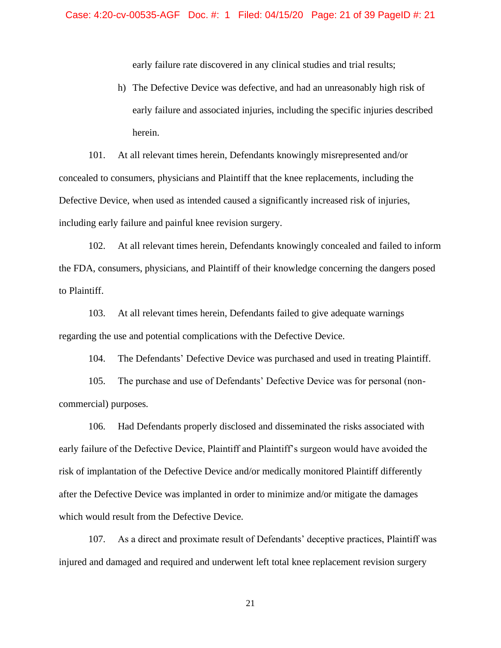early failure rate discovered in any clinical studies and trial results;

h) The Defective Device was defective, and had an unreasonably high risk of early failure and associated injuries, including the specific injuries described herein.

101. At all relevant times herein, Defendants knowingly misrepresented and/or concealed to consumers, physicians and Plaintiff that the knee replacements, including the Defective Device, when used as intended caused a significantly increased risk of injuries, including early failure and painful knee revision surgery.

102. At all relevant times herein, Defendants knowingly concealed and failed to inform the FDA, consumers, physicians, and Plaintiff of their knowledge concerning the dangers posed to Plaintiff.

103. At all relevant times herein, Defendants failed to give adequate warnings regarding the use and potential complications with the Defective Device.

104. The Defendants' Defective Device was purchased and used in treating Plaintiff.

105. The purchase and use of Defendants' Defective Device was for personal (noncommercial) purposes.

106. Had Defendants properly disclosed and disseminated the risks associated with early failure of the Defective Device, Plaintiff and Plaintiff's surgeon would have avoided the risk of implantation of the Defective Device and/or medically monitored Plaintiff differently after the Defective Device was implanted in order to minimize and/or mitigate the damages which would result from the Defective Device.

107. As a direct and proximate result of Defendants' deceptive practices, Plaintiff was injured and damaged and required and underwent left total knee replacement revision surgery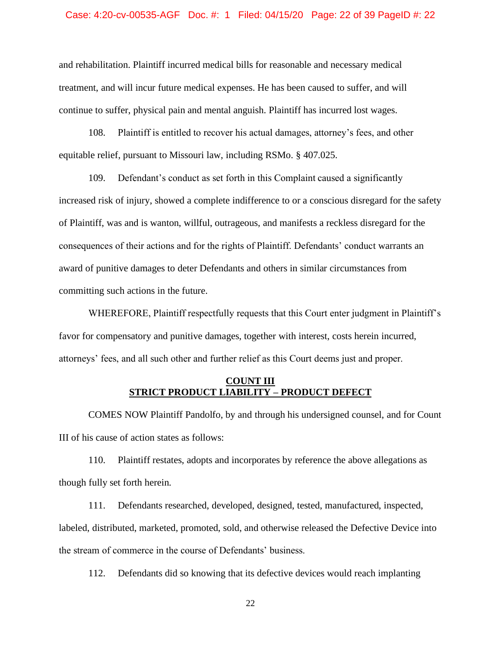#### Case: 4:20-cv-00535-AGF Doc. #: 1 Filed: 04/15/20 Page: 22 of 39 PageID #: 22

and rehabilitation. Plaintiff incurred medical bills for reasonable and necessary medical treatment, and will incur future medical expenses. He has been caused to suffer, and will continue to suffer, physical pain and mental anguish. Plaintiff has incurred lost wages.

108. Plaintiff is entitled to recover his actual damages, attorney's fees, and other equitable relief, pursuant to Missouri law, including RSMo. § 407.025.

109. Defendant's conduct as set forth in this Complaint caused a significantly increased risk of injury, showed a complete indifference to or a conscious disregard for the safety of Plaintiff, was and is wanton, willful, outrageous, and manifests a reckless disregard for the consequences of their actions and for the rights of Plaintiff. Defendants' conduct warrants an award of punitive damages to deter Defendants and others in similar circumstances from committing such actions in the future.

WHEREFORE, Plaintiff respectfully requests that this Court enter judgment in Plaintiff's favor for compensatory and punitive damages, together with interest, costs herein incurred, attorneys' fees, and all such other and further relief as this Court deems just and proper.

# **COUNT III STRICT PRODUCT LIABILITY – PRODUCT DEFECT**

COMES NOW Plaintiff Pandolfo, by and through his undersigned counsel, and for Count III of his cause of action states as follows:

110. Plaintiff restates, adopts and incorporates by reference the above allegations as though fully set forth herein.

111. Defendants researched, developed, designed, tested, manufactured, inspected, labeled, distributed, marketed, promoted, sold, and otherwise released the Defective Device into the stream of commerce in the course of Defendants' business.

112. Defendants did so knowing that its defective devices would reach implanting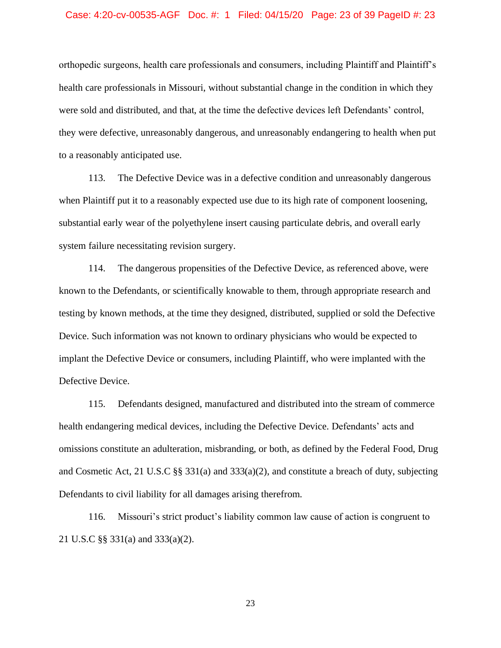#### Case: 4:20-cv-00535-AGF Doc. #: 1 Filed: 04/15/20 Page: 23 of 39 PageID #: 23

orthopedic surgeons, health care professionals and consumers, including Plaintiff and Plaintiff's health care professionals in Missouri, without substantial change in the condition in which they were sold and distributed, and that, at the time the defective devices left Defendants' control, they were defective, unreasonably dangerous, and unreasonably endangering to health when put to a reasonably anticipated use.

113. The Defective Device was in a defective condition and unreasonably dangerous when Plaintiff put it to a reasonably expected use due to its high rate of component loosening, substantial early wear of the polyethylene insert causing particulate debris, and overall early system failure necessitating revision surgery.

114. The dangerous propensities of the Defective Device, as referenced above, were known to the Defendants, or scientifically knowable to them, through appropriate research and testing by known methods, at the time they designed, distributed, supplied or sold the Defective Device. Such information was not known to ordinary physicians who would be expected to implant the Defective Device or consumers, including Plaintiff, who were implanted with the Defective Device.

115. Defendants designed, manufactured and distributed into the stream of commerce health endangering medical devices, including the Defective Device. Defendants' acts and omissions constitute an adulteration, misbranding, or both, as defined by the Federal Food, Drug and Cosmetic Act, 21 U.S.C §§ 331(a) and 333(a)(2), and constitute a breach of duty, subjecting Defendants to civil liability for all damages arising therefrom.

116. Missouri's strict product's liability common law cause of action is congruent to 21 U.S.C §§ 331(a) and 333(a)(2).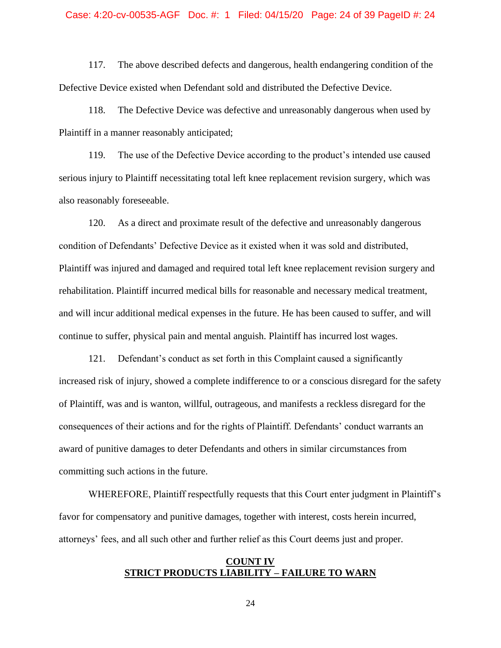#### Case: 4:20-cv-00535-AGF Doc. #: 1 Filed: 04/15/20 Page: 24 of 39 PageID #: 24

117. The above described defects and dangerous, health endangering condition of the Defective Device existed when Defendant sold and distributed the Defective Device.

118. The Defective Device was defective and unreasonably dangerous when used by Plaintiff in a manner reasonably anticipated;

119. The use of the Defective Device according to the product's intended use caused serious injury to Plaintiff necessitating total left knee replacement revision surgery, which was also reasonably foreseeable.

120. As a direct and proximate result of the defective and unreasonably dangerous condition of Defendants' Defective Device as it existed when it was sold and distributed, Plaintiff was injured and damaged and required total left knee replacement revision surgery and rehabilitation. Plaintiff incurred medical bills for reasonable and necessary medical treatment, and will incur additional medical expenses in the future. He has been caused to suffer, and will continue to suffer, physical pain and mental anguish. Plaintiff has incurred lost wages.

121. Defendant's conduct as set forth in this Complaint caused a significantly increased risk of injury, showed a complete indifference to or a conscious disregard for the safety of Plaintiff, was and is wanton, willful, outrageous, and manifests a reckless disregard for the consequences of their actions and for the rights of Plaintiff. Defendants' conduct warrants an award of punitive damages to deter Defendants and others in similar circumstances from committing such actions in the future.

WHEREFORE, Plaintiff respectfully requests that this Court enter judgment in Plaintiff's favor for compensatory and punitive damages, together with interest, costs herein incurred, attorneys' fees, and all such other and further relief as this Court deems just and proper.

### **COUNT IV STRICT PRODUCTS LIABILITY – FAILURE TO WARN**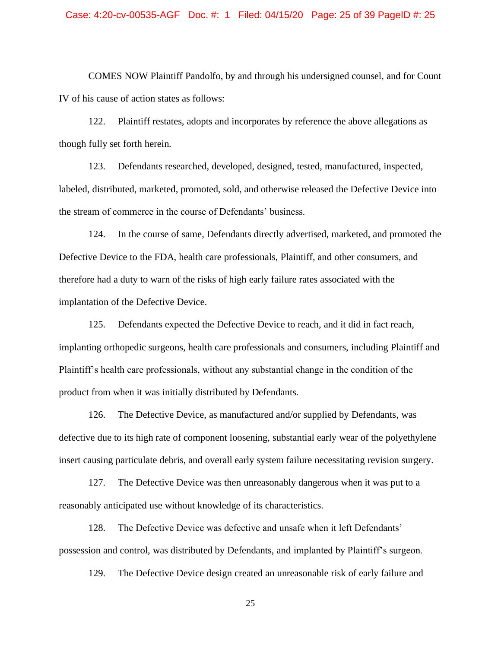#### Case: 4:20-cv-00535-AGF Doc. #: 1 Filed: 04/15/20 Page: 25 of 39 PageID #: 25

COMES NOW Plaintiff Pandolfo, by and through his undersigned counsel, and for Count IV of his cause of action states as follows:

122. Plaintiff restates, adopts and incorporates by reference the above allegations as though fully set forth herein.

123. Defendants researched, developed, designed, tested, manufactured, inspected, labeled, distributed, marketed, promoted, sold, and otherwise released the Defective Device into the stream of commerce in the course of Defendants' business.

124. In the course of same, Defendants directly advertised, marketed, and promoted the Defective Device to the FDA, health care professionals, Plaintiff, and other consumers, and therefore had a duty to warn of the risks of high early failure rates associated with the implantation of the Defective Device.

125. Defendants expected the Defective Device to reach, and it did in fact reach, implanting orthopedic surgeons, health care professionals and consumers, including Plaintiff and Plaintiff's health care professionals, without any substantial change in the condition of the product from when it was initially distributed by Defendants.

126. The Defective Device, as manufactured and/or supplied by Defendants, was defective due to its high rate of component loosening, substantial early wear of the polyethylene insert causing particulate debris, and overall early system failure necessitating revision surgery.

127. The Defective Device was then unreasonably dangerous when it was put to a reasonably anticipated use without knowledge of its characteristics.

128. The Defective Device was defective and unsafe when it left Defendants' possession and control, was distributed by Defendants, and implanted by Plaintiff's surgeon.

129. The Defective Device design created an unreasonable risk of early failure and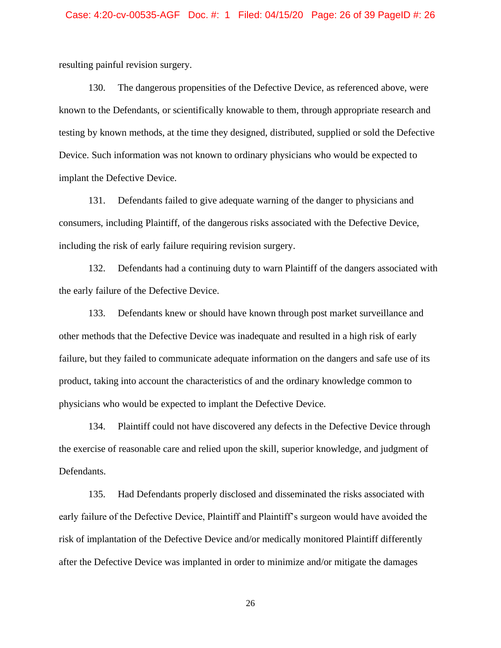resulting painful revision surgery.

130. The dangerous propensities of the Defective Device, as referenced above, were known to the Defendants, or scientifically knowable to them, through appropriate research and testing by known methods, at the time they designed, distributed, supplied or sold the Defective Device. Such information was not known to ordinary physicians who would be expected to implant the Defective Device.

131. Defendants failed to give adequate warning of the danger to physicians and consumers, including Plaintiff, of the dangerous risks associated with the Defective Device, including the risk of early failure requiring revision surgery.

132. Defendants had a continuing duty to warn Plaintiff of the dangers associated with the early failure of the Defective Device.

133. Defendants knew or should have known through post market surveillance and other methods that the Defective Device was inadequate and resulted in a high risk of early failure, but they failed to communicate adequate information on the dangers and safe use of its product, taking into account the characteristics of and the ordinary knowledge common to physicians who would be expected to implant the Defective Device.

134. Plaintiff could not have discovered any defects in the Defective Device through the exercise of reasonable care and relied upon the skill, superior knowledge, and judgment of Defendants.

135. Had Defendants properly disclosed and disseminated the risks associated with early failure of the Defective Device, Plaintiff and Plaintiff's surgeon would have avoided the risk of implantation of the Defective Device and/or medically monitored Plaintiff differently after the Defective Device was implanted in order to minimize and/or mitigate the damages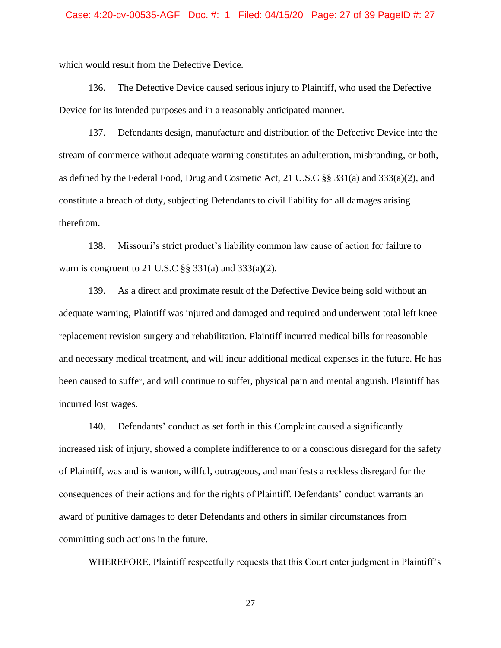which would result from the Defective Device.

136. The Defective Device caused serious injury to Plaintiff, who used the Defective Device for its intended purposes and in a reasonably anticipated manner.

137. Defendants design, manufacture and distribution of the Defective Device into the stream of commerce without adequate warning constitutes an adulteration, misbranding, or both, as defined by the Federal Food, Drug and Cosmetic Act, 21 U.S.C §§ 331(a) and 333(a)(2), and constitute a breach of duty, subjecting Defendants to civil liability for all damages arising therefrom.

138. Missouri's strict product's liability common law cause of action for failure to warn is congruent to 21 U.S.C  $\S$ § 331(a) and 333(a)(2).

139. As a direct and proximate result of the Defective Device being sold without an adequate warning, Plaintiff was injured and damaged and required and underwent total left knee replacement revision surgery and rehabilitation. Plaintiff incurred medical bills for reasonable and necessary medical treatment, and will incur additional medical expenses in the future. He has been caused to suffer, and will continue to suffer, physical pain and mental anguish. Plaintiff has incurred lost wages.

140. Defendants' conduct as set forth in this Complaint caused a significantly increased risk of injury, showed a complete indifference to or a conscious disregard for the safety of Plaintiff, was and is wanton, willful, outrageous, and manifests a reckless disregard for the consequences of their actions and for the rights of Plaintiff. Defendants' conduct warrants an award of punitive damages to deter Defendants and others in similar circumstances from committing such actions in the future.

WHEREFORE, Plaintiff respectfully requests that this Court enter judgment in Plaintiff's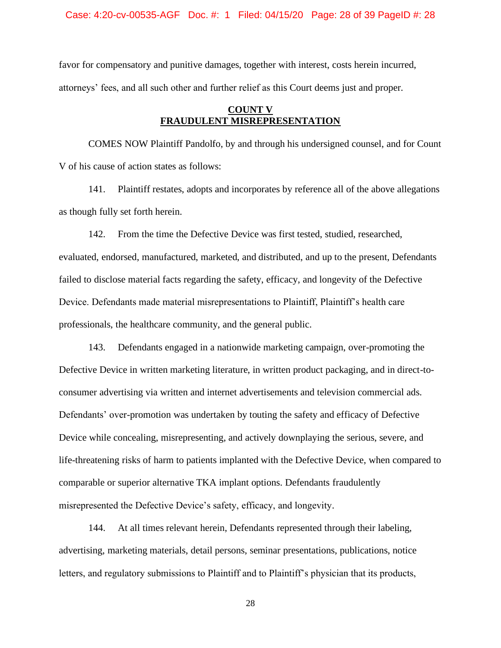Case: 4:20-cv-00535-AGF Doc. #: 1 Filed: 04/15/20 Page: 28 of 39 PageID #: 28

favor for compensatory and punitive damages, together with interest, costs herein incurred, attorneys' fees, and all such other and further relief as this Court deems just and proper.

## **COUNT V FRAUDULENT MISREPRESENTATION**

COMES NOW Plaintiff Pandolfo, by and through his undersigned counsel, and for Count V of his cause of action states as follows:

141. Plaintiff restates, adopts and incorporates by reference all of the above allegations as though fully set forth herein.

142. From the time the Defective Device was first tested, studied, researched, evaluated, endorsed, manufactured, marketed, and distributed, and up to the present, Defendants failed to disclose material facts regarding the safety, efficacy, and longevity of the Defective Device. Defendants made material misrepresentations to Plaintiff, Plaintiff's health care professionals, the healthcare community, and the general public.

143. Defendants engaged in a nationwide marketing campaign, over-promoting the Defective Device in written marketing literature, in written product packaging, and in direct-toconsumer advertising via written and internet advertisements and television commercial ads. Defendants' over-promotion was undertaken by touting the safety and efficacy of Defective Device while concealing, misrepresenting, and actively downplaying the serious, severe, and life-threatening risks of harm to patients implanted with the Defective Device, when compared to comparable or superior alternative TKA implant options. Defendants fraudulently misrepresented the Defective Device's safety, efficacy, and longevity.

144. At all times relevant herein, Defendants represented through their labeling, advertising, marketing materials, detail persons, seminar presentations, publications, notice letters, and regulatory submissions to Plaintiff and to Plaintiff's physician that its products,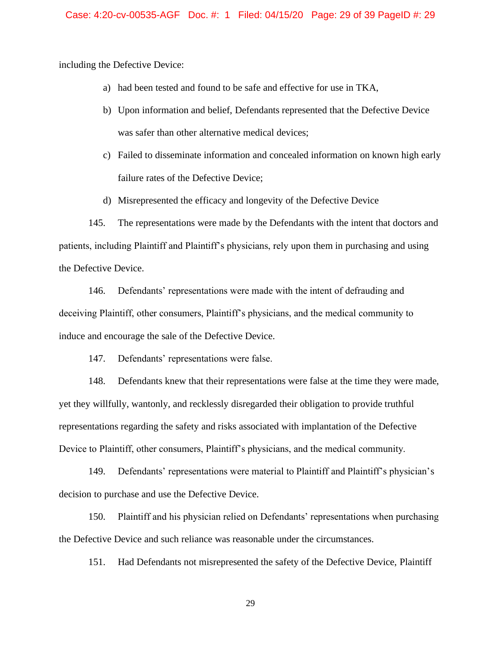including the Defective Device:

- a) had been tested and found to be safe and effective for use in TKA,
- b) Upon information and belief, Defendants represented that the Defective Device was safer than other alternative medical devices;
- c) Failed to disseminate information and concealed information on known high early failure rates of the Defective Device;
- d) Misrepresented the efficacy and longevity of the Defective Device

145. The representations were made by the Defendants with the intent that doctors and patients, including Plaintiff and Plaintiff's physicians, rely upon them in purchasing and using the Defective Device.

146. Defendants' representations were made with the intent of defrauding and deceiving Plaintiff, other consumers, Plaintiff's physicians, and the medical community to induce and encourage the sale of the Defective Device.

147. Defendants' representations were false.

148. Defendants knew that their representations were false at the time they were made, yet they willfully, wantonly, and recklessly disregarded their obligation to provide truthful representations regarding the safety and risks associated with implantation of the Defective Device to Plaintiff, other consumers, Plaintiff's physicians, and the medical community.

149. Defendants' representations were material to Plaintiff and Plaintiff's physician's decision to purchase and use the Defective Device.

150. Plaintiff and his physician relied on Defendants' representations when purchasing the Defective Device and such reliance was reasonable under the circumstances.

151. Had Defendants not misrepresented the safety of the Defective Device, Plaintiff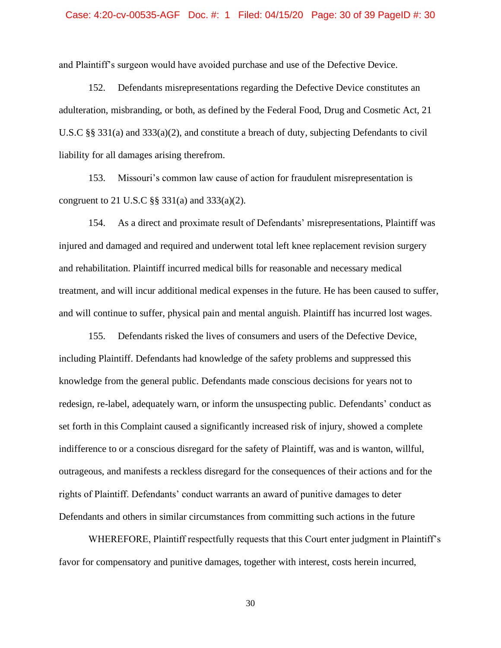#### Case: 4:20-cv-00535-AGF Doc. #: 1 Filed: 04/15/20 Page: 30 of 39 PageID #: 30

and Plaintiff's surgeon would have avoided purchase and use of the Defective Device.

152. Defendants misrepresentations regarding the Defective Device constitutes an adulteration, misbranding, or both, as defined by the Federal Food, Drug and Cosmetic Act, 21 U.S.C §§ 331(a) and 333(a)(2), and constitute a breach of duty, subjecting Defendants to civil liability for all damages arising therefrom.

153. Missouri's common law cause of action for fraudulent misrepresentation is congruent to 21 U.S.C §§ 331(a) and 333(a)(2).

154. As a direct and proximate result of Defendants' misrepresentations, Plaintiff was injured and damaged and required and underwent total left knee replacement revision surgery and rehabilitation. Plaintiff incurred medical bills for reasonable and necessary medical treatment, and will incur additional medical expenses in the future. He has been caused to suffer, and will continue to suffer, physical pain and mental anguish. Plaintiff has incurred lost wages.

155. Defendants risked the lives of consumers and users of the Defective Device, including Plaintiff. Defendants had knowledge of the safety problems and suppressed this knowledge from the general public. Defendants made conscious decisions for years not to redesign, re-label, adequately warn, or inform the unsuspecting public. Defendants' conduct as set forth in this Complaint caused a significantly increased risk of injury, showed a complete indifference to or a conscious disregard for the safety of Plaintiff, was and is wanton, willful, outrageous, and manifests a reckless disregard for the consequences of their actions and for the rights of Plaintiff. Defendants' conduct warrants an award of punitive damages to deter Defendants and others in similar circumstances from committing such actions in the future

WHEREFORE, Plaintiff respectfully requests that this Court enter judgment in Plaintiff's favor for compensatory and punitive damages, together with interest, costs herein incurred,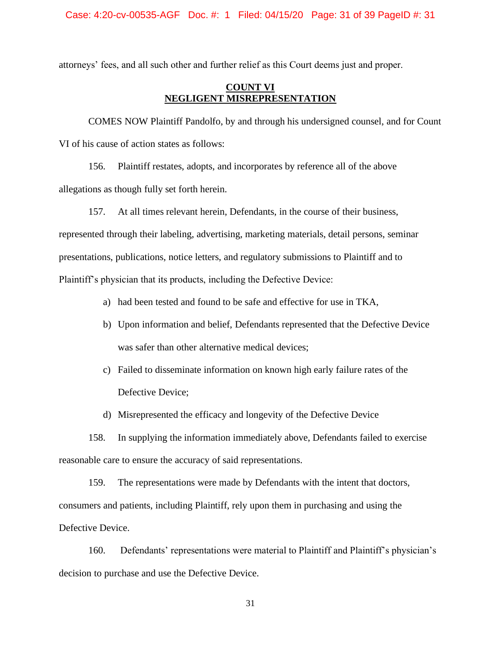attorneys' fees, and all such other and further relief as this Court deems just and proper.

## **COUNT VI NEGLIGENT MISREPRESENTATION**

COMES NOW Plaintiff Pandolfo, by and through his undersigned counsel, and for Count VI of his cause of action states as follows:

156. Plaintiff restates, adopts, and incorporates by reference all of the above allegations as though fully set forth herein.

157. At all times relevant herein, Defendants, in the course of their business,

represented through their labeling, advertising, marketing materials, detail persons, seminar presentations, publications, notice letters, and regulatory submissions to Plaintiff and to Plaintiff's physician that its products, including the Defective Device:

a) had been tested and found to be safe and effective for use in TKA,

- b) Upon information and belief, Defendants represented that the Defective Device was safer than other alternative medical devices;
- c) Failed to disseminate information on known high early failure rates of the Defective Device;
- d) Misrepresented the efficacy and longevity of the Defective Device

158. In supplying the information immediately above, Defendants failed to exercise reasonable care to ensure the accuracy of said representations.

159. The representations were made by Defendants with the intent that doctors, consumers and patients, including Plaintiff, rely upon them in purchasing and using the Defective Device.

160. Defendants' representations were material to Plaintiff and Plaintiff's physician's decision to purchase and use the Defective Device.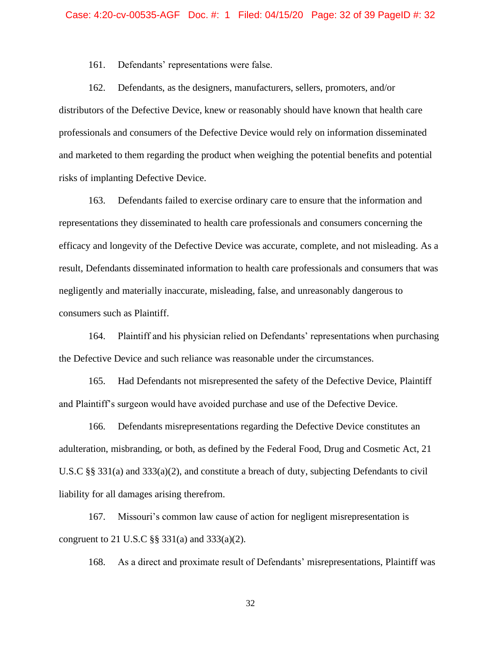161. Defendants' representations were false.

162. Defendants, as the designers, manufacturers, sellers, promoters, and/or distributors of the Defective Device, knew or reasonably should have known that health care professionals and consumers of the Defective Device would rely on information disseminated and marketed to them regarding the product when weighing the potential benefits and potential risks of implanting Defective Device.

163. Defendants failed to exercise ordinary care to ensure that the information and representations they disseminated to health care professionals and consumers concerning the efficacy and longevity of the Defective Device was accurate, complete, and not misleading. As a result, Defendants disseminated information to health care professionals and consumers that was negligently and materially inaccurate, misleading, false, and unreasonably dangerous to consumers such as Plaintiff.

164. Plaintiff and his physician relied on Defendants' representations when purchasing the Defective Device and such reliance was reasonable under the circumstances.

165. Had Defendants not misrepresented the safety of the Defective Device, Plaintiff and Plaintiff's surgeon would have avoided purchase and use of the Defective Device.

166. Defendants misrepresentations regarding the Defective Device constitutes an adulteration, misbranding, or both, as defined by the Federal Food, Drug and Cosmetic Act, 21 U.S.C §§ 331(a) and 333(a)(2), and constitute a breach of duty, subjecting Defendants to civil liability for all damages arising therefrom.

167. Missouri's common law cause of action for negligent misrepresentation is congruent to 21 U.S.C §§ 331(a) and 333(a)(2).

168. As a direct and proximate result of Defendants' misrepresentations, Plaintiff was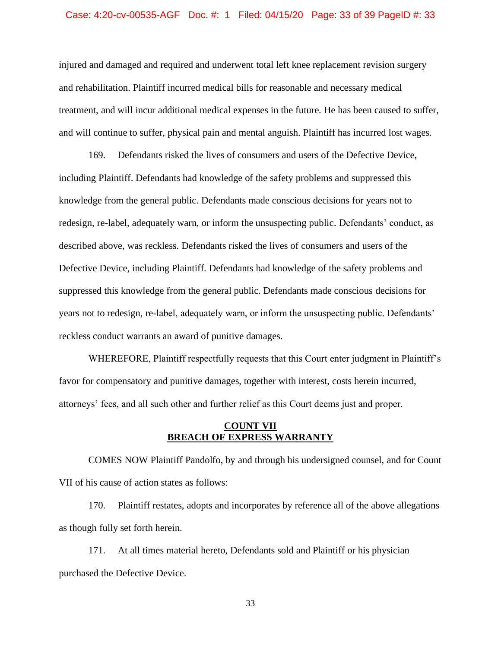#### Case: 4:20-cv-00535-AGF Doc. #: 1 Filed: 04/15/20 Page: 33 of 39 PageID #: 33

injured and damaged and required and underwent total left knee replacement revision surgery and rehabilitation. Plaintiff incurred medical bills for reasonable and necessary medical treatment, and will incur additional medical expenses in the future. He has been caused to suffer, and will continue to suffer, physical pain and mental anguish. Plaintiff has incurred lost wages.

169. Defendants risked the lives of consumers and users of the Defective Device, including Plaintiff. Defendants had knowledge of the safety problems and suppressed this knowledge from the general public. Defendants made conscious decisions for years not to redesign, re-label, adequately warn, or inform the unsuspecting public. Defendants' conduct, as described above, was reckless. Defendants risked the lives of consumers and users of the Defective Device, including Plaintiff. Defendants had knowledge of the safety problems and suppressed this knowledge from the general public. Defendants made conscious decisions for years not to redesign, re-label, adequately warn, or inform the unsuspecting public. Defendants' reckless conduct warrants an award of punitive damages.

WHEREFORE, Plaintiff respectfully requests that this Court enter judgment in Plaintiff's favor for compensatory and punitive damages, together with interest, costs herein incurred, attorneys' fees, and all such other and further relief as this Court deems just and proper.

### **COUNT VII BREACH OF EXPRESS WARRANTY**

COMES NOW Plaintiff Pandolfo, by and through his undersigned counsel, and for Count VII of his cause of action states as follows:

170. Plaintiff restates, adopts and incorporates by reference all of the above allegations as though fully set forth herein.

171. At all times material hereto, Defendants sold and Plaintiff or his physician purchased the Defective Device.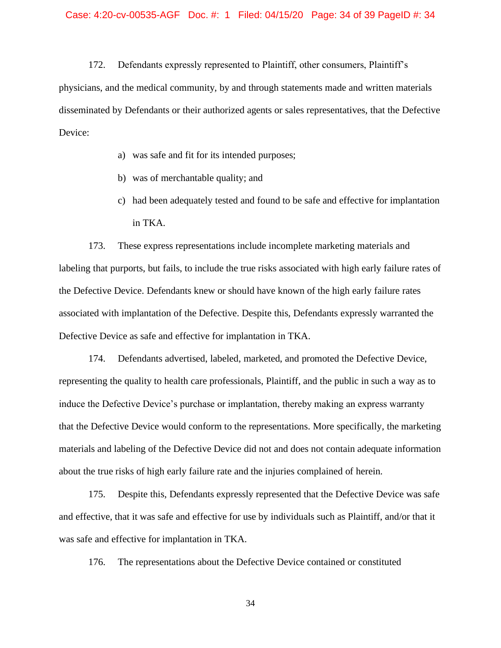172. Defendants expressly represented to Plaintiff, other consumers, Plaintiff's physicians, and the medical community, by and through statements made and written materials disseminated by Defendants or their authorized agents or sales representatives, that the Defective Device:

- a) was safe and fit for its intended purposes;
- b) was of merchantable quality; and
- c) had been adequately tested and found to be safe and effective for implantation in TKA.

173. These express representations include incomplete marketing materials and labeling that purports, but fails, to include the true risks associated with high early failure rates of the Defective Device. Defendants knew or should have known of the high early failure rates associated with implantation of the Defective. Despite this, Defendants expressly warranted the Defective Device as safe and effective for implantation in TKA.

174. Defendants advertised, labeled, marketed, and promoted the Defective Device, representing the quality to health care professionals, Plaintiff, and the public in such a way as to induce the Defective Device's purchase or implantation, thereby making an express warranty that the Defective Device would conform to the representations. More specifically, the marketing materials and labeling of the Defective Device did not and does not contain adequate information about the true risks of high early failure rate and the injuries complained of herein.

175. Despite this, Defendants expressly represented that the Defective Device was safe and effective, that it was safe and effective for use by individuals such as Plaintiff, and/or that it was safe and effective for implantation in TKA.

176. The representations about the Defective Device contained or constituted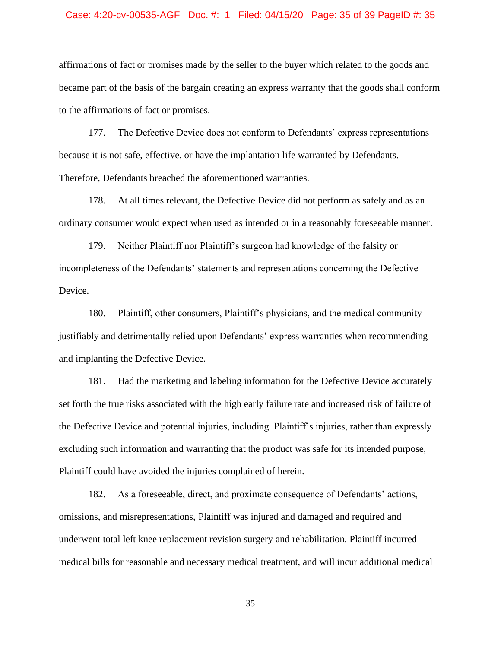#### Case: 4:20-cv-00535-AGF Doc. #: 1 Filed: 04/15/20 Page: 35 of 39 PageID #: 35

affirmations of fact or promises made by the seller to the buyer which related to the goods and became part of the basis of the bargain creating an express warranty that the goods shall conform to the affirmations of fact or promises.

177. The Defective Device does not conform to Defendants' express representations because it is not safe, effective, or have the implantation life warranted by Defendants. Therefore, Defendants breached the aforementioned warranties.

178. At all times relevant, the Defective Device did not perform as safely and as an ordinary consumer would expect when used as intended or in a reasonably foreseeable manner.

179. Neither Plaintiff nor Plaintiff's surgeon had knowledge of the falsity or incompleteness of the Defendants' statements and representations concerning the Defective Device.

180. Plaintiff, other consumers, Plaintiff's physicians, and the medical community justifiably and detrimentally relied upon Defendants' express warranties when recommending and implanting the Defective Device.

181. Had the marketing and labeling information for the Defective Device accurately set forth the true risks associated with the high early failure rate and increased risk of failure of the Defective Device and potential injuries, including Plaintiff's injuries, rather than expressly excluding such information and warranting that the product was safe for its intended purpose, Plaintiff could have avoided the injuries complained of herein.

182. As a foreseeable, direct, and proximate consequence of Defendants' actions, omissions, and misrepresentations, Plaintiff was injured and damaged and required and underwent total left knee replacement revision surgery and rehabilitation. Plaintiff incurred medical bills for reasonable and necessary medical treatment, and will incur additional medical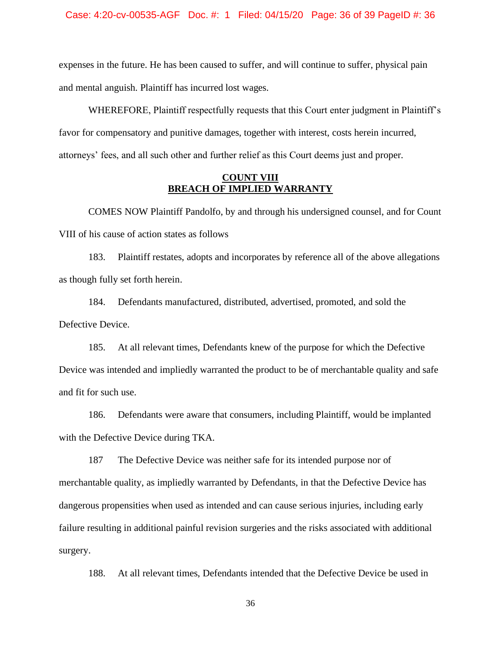expenses in the future. He has been caused to suffer, and will continue to suffer, physical pain and mental anguish. Plaintiff has incurred lost wages.

WHEREFORE, Plaintiff respectfully requests that this Court enter judgment in Plaintiff's favor for compensatory and punitive damages, together with interest, costs herein incurred, attorneys' fees, and all such other and further relief as this Court deems just and proper.

### **COUNT VIII BREACH OF IMPLIED WARRANTY**

COMES NOW Plaintiff Pandolfo, by and through his undersigned counsel, and for Count VIII of his cause of action states as follows

183. Plaintiff restates, adopts and incorporates by reference all of the above allegations as though fully set forth herein.

184. Defendants manufactured, distributed, advertised, promoted, and sold the Defective Device.

185. At all relevant times, Defendants knew of the purpose for which the Defective Device was intended and impliedly warranted the product to be of merchantable quality and safe and fit for such use.

186. Defendants were aware that consumers, including Plaintiff, would be implanted with the Defective Device during TKA.

187 The Defective Device was neither safe for its intended purpose nor of merchantable quality, as impliedly warranted by Defendants, in that the Defective Device has dangerous propensities when used as intended and can cause serious injuries, including early failure resulting in additional painful revision surgeries and the risks associated with additional surgery.

188. At all relevant times, Defendants intended that the Defective Device be used in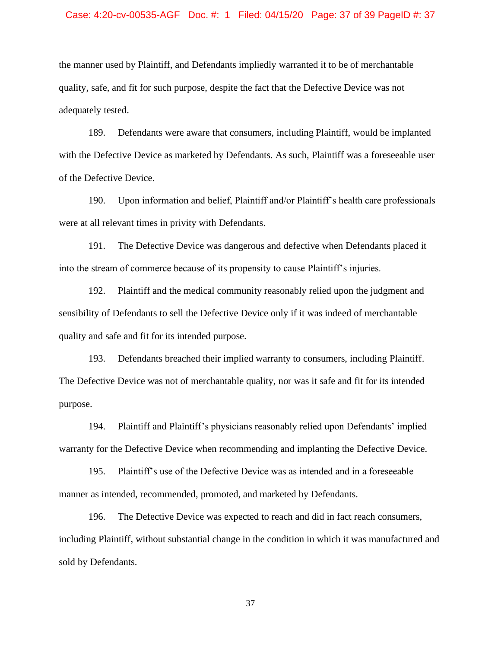#### Case: 4:20-cv-00535-AGF Doc. #: 1 Filed: 04/15/20 Page: 37 of 39 PageID #: 37

the manner used by Plaintiff, and Defendants impliedly warranted it to be of merchantable quality, safe, and fit for such purpose, despite the fact that the Defective Device was not adequately tested.

189. Defendants were aware that consumers, including Plaintiff, would be implanted with the Defective Device as marketed by Defendants. As such, Plaintiff was a foreseeable user of the Defective Device.

190. Upon information and belief, Plaintiff and/or Plaintiff's health care professionals were at all relevant times in privity with Defendants.

191. The Defective Device was dangerous and defective when Defendants placed it into the stream of commerce because of its propensity to cause Plaintiff's injuries.

192. Plaintiff and the medical community reasonably relied upon the judgment and sensibility of Defendants to sell the Defective Device only if it was indeed of merchantable quality and safe and fit for its intended purpose.

193. Defendants breached their implied warranty to consumers, including Plaintiff. The Defective Device was not of merchantable quality, nor was it safe and fit for its intended purpose.

194. Plaintiff and Plaintiff's physicians reasonably relied upon Defendants' implied warranty for the Defective Device when recommending and implanting the Defective Device.

195. Plaintiff's use of the Defective Device was as intended and in a foreseeable manner as intended, recommended, promoted, and marketed by Defendants.

196. The Defective Device was expected to reach and did in fact reach consumers, including Plaintiff, without substantial change in the condition in which it was manufactured and sold by Defendants.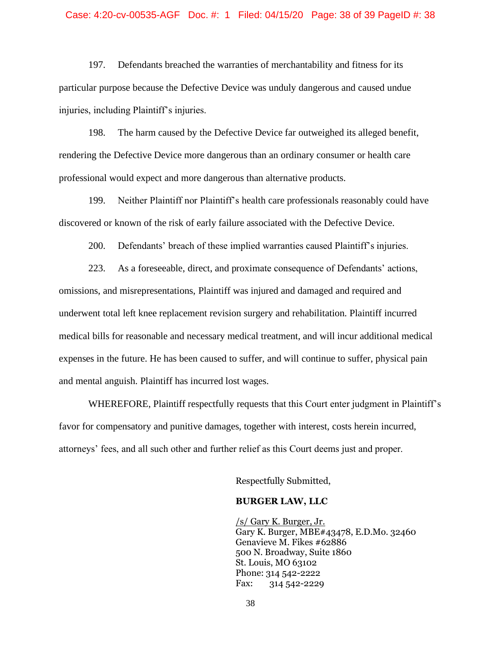#### Case: 4:20-cv-00535-AGF Doc. #: 1 Filed: 04/15/20 Page: 38 of 39 PageID #: 38

197. Defendants breached the warranties of merchantability and fitness for its particular purpose because the Defective Device was unduly dangerous and caused undue injuries, including Plaintiff's injuries.

198. The harm caused by the Defective Device far outweighed its alleged benefit, rendering the Defective Device more dangerous than an ordinary consumer or health care professional would expect and more dangerous than alternative products.

199. Neither Plaintiff nor Plaintiff's health care professionals reasonably could have discovered or known of the risk of early failure associated with the Defective Device.

200. Defendants' breach of these implied warranties caused Plaintiff's injuries.

223. As a foreseeable, direct, and proximate consequence of Defendants' actions, omissions, and misrepresentations, Plaintiff was injured and damaged and required and underwent total left knee replacement revision surgery and rehabilitation. Plaintiff incurred medical bills for reasonable and necessary medical treatment, and will incur additional medical expenses in the future. He has been caused to suffer, and will continue to suffer, physical pain and mental anguish. Plaintiff has incurred lost wages.

WHEREFORE, Plaintiff respectfully requests that this Court enter judgment in Plaintiff's favor for compensatory and punitive damages, together with interest, costs herein incurred, attorneys' fees, and all such other and further relief as this Court deems just and proper.

Respectfully Submitted,

#### **BURGER LAW, LLC**

/s/ Gary K. Burger, Jr. Gary K. Burger, MBE#43478, E.D.Mo. 32460 Genavieve M. Fikes #62886 500 N. Broadway, Suite 1860 St. Louis, MO 63102 Phone: 314 542-2222 Fax: 314 542-2229